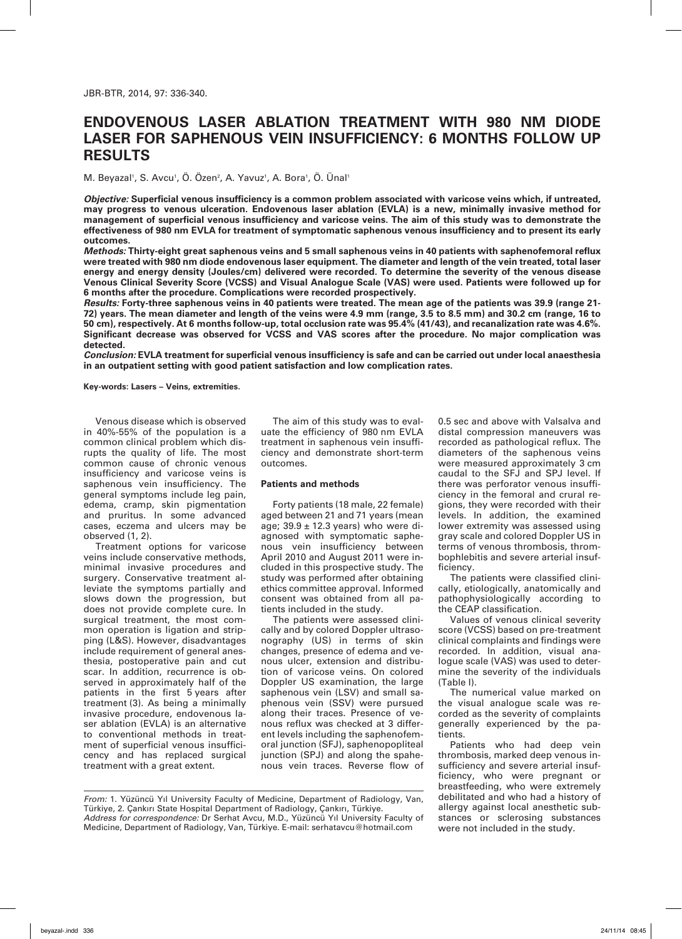# **Endovenous laser ablation treatment with 980 nm diode laser for saphenous vein insufficiency: 6 months follow up results**

M. Beyazal<sup>1</sup>, S. Avcu<sup>1</sup>, O. Ozen<sup>2</sup>, A. Yavuz<sup>1</sup>, A. Bora<sup>1</sup>, O. Unal<sup>1</sup>

*Objective:* **Superficial venous insufficiency is a common problem associated with varicose veins which, if untreated, may progress to venous ulceration. Endovenous laser ablation (EVLA) is a new, minimally invasive method for management of superficial venous insufficiency and varicose veins. The aim of this study was to demonstrate the effectiveness of 980 nm EVLA for treatment of symptomatic saphenous venous insufficiency and to present its early outcomes.**

*Methods:* **Thirty-eight great saphenous veins and 5 small saphenous veins in 40 patients with saphenofemoral reflux were treated with 980 nm diode endovenous laser equipment. The diameter and length of the vein treated, total laser energy and energy density (Joules/cm) delivered were recorded. To determine the severity of the venous disease Venous Clinical Severity Score (VCSS) and Visual Analogue Scale (VAS) were used. Patients were followed up for 6 months after the procedure. Complications were recorded prospectively.**

*Results:* **Forty-three saphenous veins in 40 patients were treated. The mean age of the patients was 39.9 (range 21- 72) years. The mean diameter and length of the veins were 4.9 mm (range, 3.5 to 8.5 mm) and 30.2 cm (range, 16 to 50 cm), respectively. At 6 months follow-up, total occlusion rate was 95.4% (41/43), and recanalization rate was 4.6%. Significant decrease was observed for VCSS and VAS scores after the procedure. No major complication was detected.**

*Conclusion:* **EVLA treatment for superficial venous insufficiency is safe and can be carried out under local anaesthesia in an outpatient setting with good patient satisfaction and low complication rates.**

**Key-words: Lasers – Veins, extremities.**

Venous disease which is observed in 40%-55% of the population is a common clinical problem which disrupts the quality of life. The most common cause of chronic venous insufficiency and varicose veins is saphenous vein insufficiency. The general symptoms include leg pain, edema, cramp, skin pigmentation and pruritus. In some advanced cases, eczema and ulcers may be observed (1, 2).

Treatment options for varicose veins include conservative methods, minimal invasive procedures and surgery. Conservative treatment alleviate the symptoms partially and slows down the progression, but does not provide complete cure. In surgical treatment, the most common operation is ligation and stripping (L&S). However, disadvantages include requirement of general anesthesia, postoperative pain and cut scar. In addition, recurrence is observed in approximately half of the patients in the first 5 years after treatment (3). As being a minimally invasive procedure, endovenous laser ablation (EVLA) is an alternative to conventional methods in treatment of superficial venous insufficicency and has replaced surgical treatment with a great extent.

The aim of this study was to evaluate the efficiency of 980 nm EVLA treatment in saphenous vein insufficiency and demonstrate short-term outcomes.

#### **Patients and methods**

Forty patients (18 male, 22 female) aged between 21 and 71 years (mean age;  $39.9 \pm 12.3$  years) who were diagnosed with symptomatic saphenous vein insufficiency between April 2010 and August 2011 were included in this prospective study. The study was performed after obtaining ethics committee approval. Informed consent was obtained from all patients included in the study.

The patients were assessed clinically and by colored Doppler ultrasonography (US) in terms of skin changes, presence of edema and venous ulcer, extension and distribution of varicose veins. On colored Doppler US examination, the large saphenous vein (LSV) and small saphenous vein (SSV) were pursued along their traces. Presence of venous reflux was checked at 3 different levels including the saphenofemoral junction (SFJ), saphenopopliteal junction (SPJ) and along the spahenous vein traces. Reverse flow of 0.5 sec and above with Valsalva and distal compression maneuvers was recorded as pathological reflux. The diameters of the saphenous veins were measured approximately 3 cm caudal to the SFJ and SPJ level. If there was perforator venous insufficiency in the femoral and crural regions, they were recorded with their levels. In addition, the examined lower extremity was assessed using gray scale and colored Doppler US in terms of venous thrombosis, thrombophlebitis and severe arterial insufficiency.

The patients were classified clinically, etiologically, anatomically and pathophysiologically according to the CEAP classification.

Values of venous clinical severity score (VCSS) based on pre-treatment clinical complaints and findings were recorded. In addition, visual analogue scale (VAS) was used to determine the severity of the individuals (Table I).

The numerical value marked on the visual analogue scale was recorded as the severity of complaints generally experienced by the patients.

Patients who had deep vein thrombosis, marked deep venous insufficiency and severe arterial insufficiency, who were pregnant or breastfeeding, who were extremely debilitated and who had a history of allergy against local anesthetic substances or sclerosing substances were not included in the study.

*From:* 1. Yüzüncü Yıl University Faculty of Medicine, Department of Radiology, Van, Türkiye, 2. Çankırı State Hospital Department of Radiology, Çankırı, Türkiye. *Address for correspondence:* Dr Serhat Avcu, M.D., Yüzüncü Yıl University Faculty of Medicine, Department of Radiology, Van, Türkiye. E-mail: serhatavcu@hotmail.com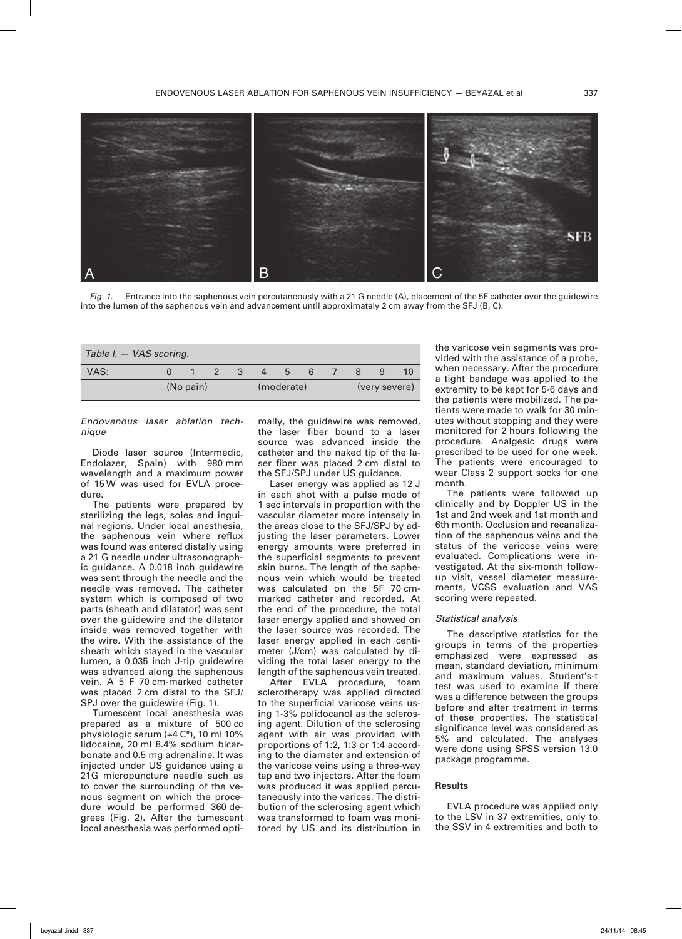

*Fig. 1.*  $-$  Entrance into the saphenous vein percutaneously with a 21 G needle (A), placement of the 5F catheter over the guidewire into the lumen of the saphenous vein and advancement until approximately 2 cm away from the SFJ (B, C).

| Table I. – VAS scoring. |           |   |            |              |               |  |  |    |
|-------------------------|-----------|---|------------|--------------|---------------|--|--|----|
| VAS:                    |           | 3 | 4          | $\mathbf{b}$ | 6             |  |  | 10 |
|                         | (No pain) |   | (moderate) |              | (very severe) |  |  |    |

*Endovenous laser ablation technique* 

Diode laser source (Intermedic, Endolazer, Spain) with 980 mm wavelength and a maximum power of 15 W was used for EVLA procedure.

The patients were prepared by sterilizing the legs, soles and inguinal regions. Under local anesthesia, the saphenous vein where reflux was found was entered distally using a 21 G needle under ultrasonographic guidance. A 0.018 inch guidewire was sent through the needle and the needle was removed. The catheter system which is composed of two parts (sheath and dilatator) was sent over the guidewire and the dilatator inside was removed together with the wire. With the assistance of the sheath which stayed in the vascular lumen, a 0.035 inch J-tip guidewire was advanced along the saphenous vein. A 5 F 70 cm-marked catheter was placed 2 cm distal to the SFJ/ SPJ over the quidewire (Fig. 1).

Tumescent local anesthesia was prepared as a mixture of 500 cc physiologic serum (+4 C°), 10 ml 10% lidocaine, 20 ml 8.4% sodium bicarbonate and 0.5 mg adrenaline. It was injected under US guidance using a 21G micropuncture needle such as to cover the surrounding of the venous segment on which the procedure would be performed 360 degrees (Fig. 2). After the tumescent local anesthesia was performed optimally, the guidewire was removed, the laser fiber bound to a laser source was advanced inside the catheter and the naked tip of the laser fiber was placed 2 cm distal to the SFJ/SPJ under US guidance.

Laser energy was applied as 12 J in each shot with a pulse mode of 1 sec intervals in proportion with the vascular diameter more intensely in the areas close to the SFJ/SPJ by adjusting the laser parameters. Lower energy amounts were preferred in the superficial segments to prevent skin burns. The length of the saphenous vein which would be treated was calculated on the 5F 70 cmmarked catheter and recorded. At the end of the procedure, the total laser energy applied and showed on the laser source was recorded. The laser energy applied in each centimeter (J/cm) was calculated by dividing the total laser energy to the length of the saphenous vein treated.

After EVLA procedure, foam sclerotherapy was applied directed to the superficial varicose veins using 1-3% polidocanol as the sclerosing agent. Dilution of the sclerosing agent with air was provided with proportions of 1:2, 1:3 or 1:4 according to the diameter and extension of the varicose veins using a three-way tap and two injectors. After the foam was produced it was applied percutaneously into the varices. The distribution of the sclerosing agent which was transformed to foam was monitored by US and its distribution in

the varicose vein segments was provided with the assistance of a probe, when necessary. After the procedure a tight bandage was applied to the extremity to be kept for 5-6 days and the patients were mobilized. The patients were made to walk for 30 minutes without stopping and they were monitored for 2 hours following the procedure. Analgesic drugs were prescribed to be used for one week. The patients were encouraged to wear Class 2 support socks for one month.

The patients were followed up clinically and by Doppler US in the 1st and 2nd week and 1st month and 6th month. Occlusion and recanalization of the saphenous veins and the status of the varicose veins were evaluated. Complications were investigated. At the six-month followup visit, vessel diameter measurements, VCSS evaluation and VAS scoring were repeated.

## *Statistical analysis*

The descriptive statistics for the groups in terms of the properties emphasized were expressed as mean, standard deviation, minimum and maximum values. Student's-t test was used to examine if there was a difference between the groups before and after treatment in terms of these properties. The statistical significance level was considered as 5% and calculated. The analyses were done using SPSS version 13.0 package programme.

#### **Results**

EVLA procedure was applied only to the LSV in 37 extremities, only to the SSV in 4 extremities and both to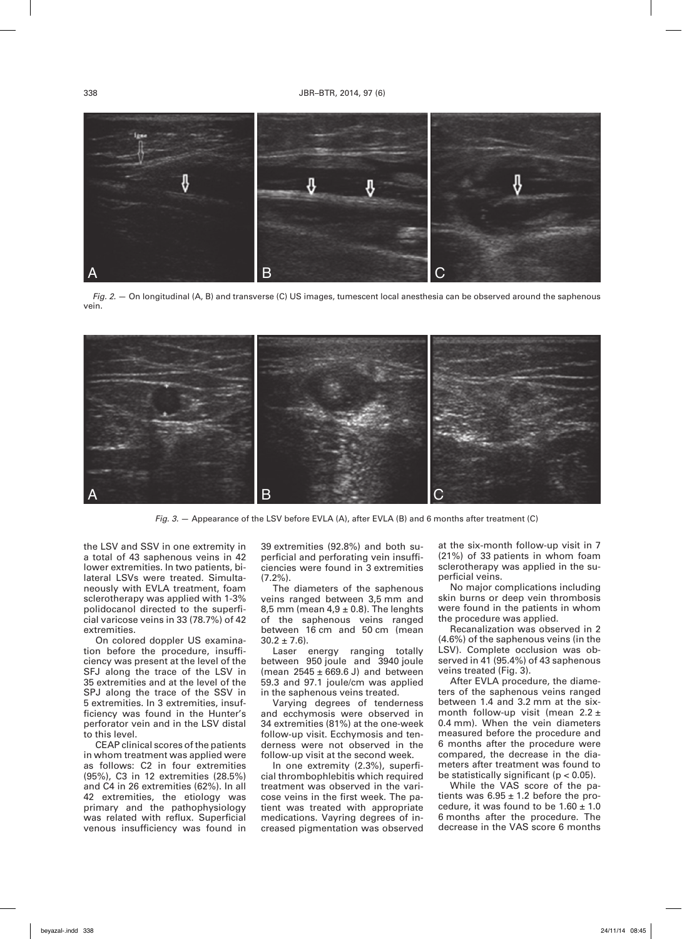

*Fig. 2.* — On longitudinal (A, B) and transverse (C) US images, tumescent local anesthesia can be observed around the saphenous vein.



*Fig. 3.* — Appearance of the LSV before EVLA (A), after EVLA (B) and 6 months after treatment (C)

the LSV and SSV in one extremity in a total of 43 saphenous veins in 42 lower extremities. In two patients, bilateral LSVs were treated. Simultaneously with EVLA treatment, foam sclerotherapy was applied with 1-3% polidocanol directed to the superficial varicose veins in 33 (78.7%) of 42 extremities.

On colored doppler US examination before the procedure, insufficiency was present at the level of the SFJ along the trace of the LSV in 35 extremities and at the level of the SPJ along the trace of the SSV in 5 extremities. In 3 extremities, insufficiency was found in the Hunter's perforator vein and in the LSV distal to this level.

CEAP clinical scores of the patients in whom treatment was applied were as follows: C2 in four extremities (95%), C3 in 12 extremities (28.5%) and C4 in 26 extremities (62%). In all 42 extremities, the etiology was primary and the pathophysiology was related with reflux. Superficial venous insufficiency was found in 39 extremities (92.8%) and both superficial and perforating vein insufficiencies were found in 3 extremities (7.2%).

The diameters of the saphenous veins ranged between 3,5 mm and 8,5 mm (mean  $4.9 \pm 0.8$ ). The lenghts of the saphenous veins ranged between 16 cm and 50 cm (mean  $30.2 \pm 7.6$ ).

Laser energy ranging totally between 950 joule and 3940 joule (mean  $2545 \pm 669.6$  J) and between 59.3 and 97.1 joule/cm was applied in the saphenous veins treated.

Varying degrees of tenderness and ecchymosis were observed in 34 extremities (81%) at the one-week follow-up visit. Ecchymosis and tenderness were not observed in the follow-up visit at the second week.

In one extremity (2.3%), superficial thrombophlebitis which required treatment was observed in the varicose veins in the first week. The patient was treated with appropriate medications. Vayring degrees of increased pigmentation was observed

at the six-month follow-up visit in 7 (21%) of 33 patients in whom foam sclerotherapy was applied in the superficial veins.

No major complications including skin burns or deep vein thrombosis were found in the patients in whom the procedure was applied.

Recanalization was observed in 2 (4.6%) of the saphenous veins (in the LSV). Complete occlusion was observed in 41 (95.4%) of 43 saphenous veins treated (Fig. 3).

After EVLA procedure, the diameters of the saphenous veins ranged between 1.4 and 3.2 mm at the sixmonth follow-up visit (mean 2.2 ± 0.4 mm). When the vein diameters measured before the procedure and 6 months after the procedure were compared, the decrease in the diameters after treatment was found to be statistically significant (p < 0.05).

While the VAS score of the patients was  $6.95 \pm 1.2$  before the procedure, it was found to be  $1.60 \pm 1.0$ 6 months after the procedure. The decrease in the VAS score 6 months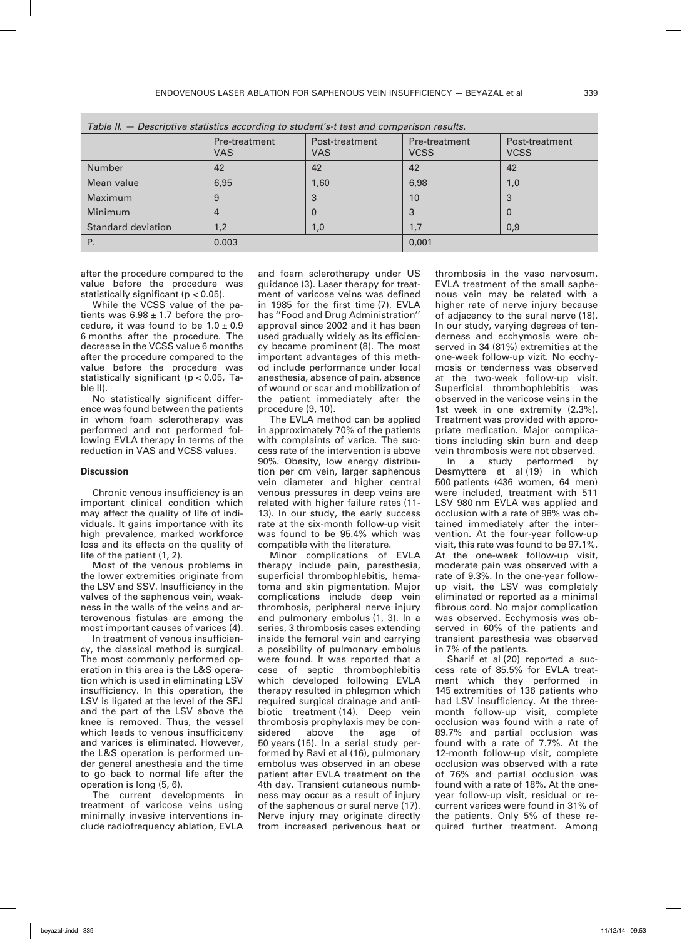| rable in — Descriptive statistics according to student s-t test and companson results. |                             |                              |                              |                               |  |  |  |  |  |
|----------------------------------------------------------------------------------------|-----------------------------|------------------------------|------------------------------|-------------------------------|--|--|--|--|--|
|                                                                                        | Pre-treatment<br><b>VAS</b> | Post-treatment<br><b>VAS</b> | Pre-treatment<br><b>VCSS</b> | Post-treatment<br><b>VCSS</b> |  |  |  |  |  |
| Number                                                                                 | 42                          | 42                           | 42                           | 42                            |  |  |  |  |  |
| Mean value                                                                             | 6,95                        | 1,60                         | 6,98                         | 1,0                           |  |  |  |  |  |
| Maximum                                                                                | 9                           | 3                            | 10                           | 3                             |  |  |  |  |  |
| <b>Minimum</b>                                                                         | 4                           | $\mathbf{0}$                 | 3                            | $\Omega$                      |  |  |  |  |  |
| Standard deviation                                                                     | 1,2                         | 1,0                          | 1,7                          | 0,9                           |  |  |  |  |  |
| Ρ.                                                                                     | 0.003                       |                              | 0,001                        |                               |  |  |  |  |  |

*Table II. — Descriptive statistics according to student's-t test and comparison results.* 

after the procedure compared to the value before the procedure was statistically significant (p < 0.05).

While the VCSS value of the patients was  $6.98 \pm 1.7$  before the procedure, it was found to be  $1.0 \pm 0.9$ 6 months after the procedure. The decrease in the VCSS value 6 months after the procedure compared to the value before the procedure was statistically significant (p < 0.05, Table II).

No statistically significant difference was found between the patients in whom foam sclerotherapy was performed and not performed following EVLA therapy in terms of the reduction in VAS and VCSS values.

### **Discussion**

Chronic venous insufficiency is an important clinical condition which may affect the quality of life of individuals. It gains importance with its high prevalence, marked workforce loss and its effects on the quality of life of the patient (1, 2).

Most of the venous problems in the lower extremities originate from the LSV and SSV. Insufficiency in the valves of the saphenous vein, weakness in the walls of the veins and arterovenous fistulas are among the most important causes of varices (4).

In treatment of venous insufficiency, the classical method is surgical. The most commonly performed operation in this area is the L&S operation which is used in eliminating LSV insufficiency. In this operation, the LSV is ligated at the level of the SFJ and the part of the LSV above the knee is removed. Thus, the vessel which leads to venous insufficiceny and varices is eliminated. However, the L&S operation is performed under general anesthesia and the time to go back to normal life after the operation is long (5, 6).

The current developments in treatment of varicose veins using minimally invasive interventions include radiofrequency ablation, EVLA

and foam sclerotherapy under US guidance (3). Laser therapy for treatment of varicose veins was defined in 1985 for the first time (7). EVLA has ''Food and Drug Administration'' approval since 2002 and it has been used gradually widely as its efficiency became prominent (8). The most important advantages of this method include performance under local anesthesia, absence of pain, absence of wound or scar and mobilization of the patient immediately after the procedure (9, 10).

The EVLA method can be applied in approximately 70% of the patients with complaints of varice. The success rate of the intervention is above 90%. Obesity, low energy distribution per cm vein, larger saphenous vein diameter and higher central venous pressures in deep veins are related with higher failure rates (11- 13). In our study, the early success rate at the six-month follow-up visit was found to be 95.4% which was compatible with the literature.

Minor complications of EVLA therapy include pain, paresthesia, superficial thrombophlebitis, hematoma and skin pigmentation. Major complications include deep vein thrombosis, peripheral nerve injury and pulmonary embolus (1, 3). In a series, 3 thrombosis cases extending inside the femoral vein and carrying a possibility of pulmonary embolus were found. It was reported that a case of septic thrombophlebitis which developed following EVLA therapy resulted in phlegmon which required surgical drainage and antibiotic treatment (14). Deep vein thrombosis prophylaxis may be considered above the age of 50 years (15). In a serial study performed by Ravi et al (16), pulmonary embolus was observed in an obese patient after EVLA treatment on the 4th day. Transient cutaneous numbness may occur as a result of injury of the saphenous or sural nerve (17). Nerve injury may originate directly from increased perivenous heat or

thrombosis in the vaso nervosum. EVLA treatment of the small saphenous vein may be related with a higher rate of nerve injury because of adjacency to the sural nerve (18). In our study, varying degrees of tenderness and ecchymosis were observed in 34 (81%) extremities at the one-week follow-up vizit. No ecchymosis or tenderness was observed at the two-week follow-up visit. Superficial thrombophlebitis was observed in the varicose veins in the 1st week in one extremity (2.3%). Treatment was provided with appropriate medication. Major complications including skin burn and deep vein thrombosis were not observed.

In a study performed by Desmyttere et al (19) in which 500 patients (436 women, 64 men) were included, treatment with 511 LSV 980 nm EVLA was applied and occlusion with a rate of 98% was obtained immediately after the intervention. At the four-year follow-up visit, this rate was found to be 97.1%. At the one-week follow-up visit, moderate pain was observed with a rate of 9.3%. In the one-year followup visit, the LSV was completely eliminated or reported as a minimal fibrous cord. No major complication was observed. Ecchymosis was observed in 60% of the patients and transient paresthesia was observed in 7% of the patients.

Sharif et al (20) reported a success rate of 85.5% for EVLA treatment which they performed in 145 extremities of 136 patients who had LSV insufficiency. At the threemonth follow-up visit, complete occlusion was found with a rate of 89.7% and partial occlusion was found with a rate of 7.7%. At the 12-month follow-up visit, complete occlusion was observed with a rate of 76% and partial occlusion was found with a rate of 18%. At the oneyear follow-up visit, residual or recurrent varices were found in 31% of the patients. Only 5% of these required further treatment. Among